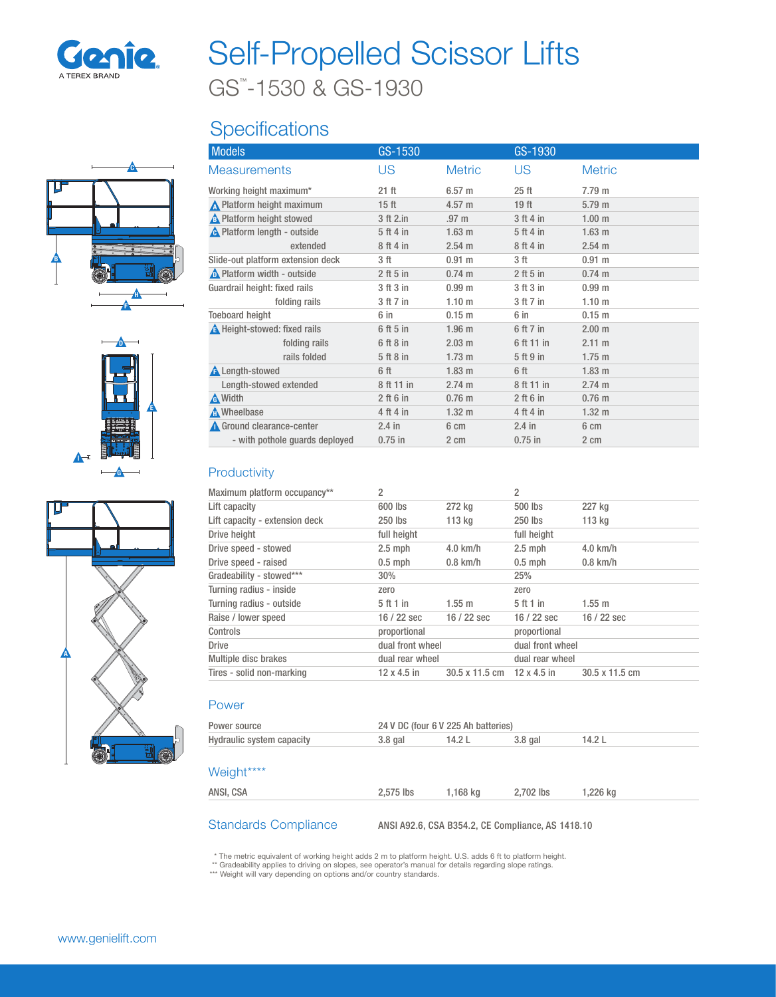

# Self-Propelled Scissor Lifts

GS™ -1530 & GS-1930

## **Specifications**







| <b>Models</b>                       | GS-1530          |                   | GS-1930          |                   |
|-------------------------------------|------------------|-------------------|------------------|-------------------|
| <b>Measurements</b>                 | US               | <b>Metric</b>     | US               | <b>Metric</b>     |
| Working height maximum*             | $21$ ft          | 6.57 m            | 25 <sub>ft</sub> | 7.79 m            |
| N Platform height maximum           | 15 <sub>ft</sub> | 4.57 m            | 19 <sub>ft</sub> | 5.79 <sub>m</sub> |
| <b>A</b> Platform height stowed     | 3 ft 2.in        | .97 <sub>m</sub>  | 3 ft 4 in        | 1.00 <sub>m</sub> |
| <b>A</b> Platform length - outside  | 5 ft 4 in        | 1.63 <sub>m</sub> | 5 ft 4 in        | 1.63 <sub>m</sub> |
| extended                            | 8 ft 4 in        | 2.54 m            | 8 ft 4 in        | 2.54 m            |
| Slide-out platform extension deck   | 3 ft             | 0.91 m            | 3 ft             | 0.91 m            |
| <b>A</b> Platform width - outside   | $2$ ft 5 in      | $0.74 \text{ m}$  | $2$ ft 5 in      | $0.74 \text{ m}$  |
| Guardrail height: fixed rails       | 3 ft 3 in        | 0.99 <sub>m</sub> | 3 ft 3 in        | 0.99 <sub>m</sub> |
| folding rails                       | 3 ft 7 in        | 1.10 <sub>m</sub> | 3 ft 7 in        | 1.10 <sub>m</sub> |
| <b>Toeboard height</b>              | 6 in             | 0.15 <sub>m</sub> | 6 in             | 0.15 <sub>m</sub> |
| <b>A</b> Height-stowed: fixed rails | 6 ft 5 in        | 1.96 <sub>m</sub> | 6 ft 7 in        | 2.00 <sub>m</sub> |
| folding rails                       | 6 ft 8 in        | $2.03 \text{ m}$  | 6 ft 11 in       | $2.11 \text{ m}$  |
| rails folded                        | 5 ft 8 in        | $1.73 \text{ m}$  | 5 ft 9 in        | $1.75 \text{ m}$  |
| <b>A</b> Length-stowed              | 6 ft             | 1.83 <sub>m</sub> | 6 ft             | 1.83 <sub>m</sub> |
| Length-stowed extended              | 8 ft 11 in       | 2.74 m            | 8 ft 11 in       | 2.74 m            |
| <b>A</b> Width                      | $2$ ft 6 in      | 0.76 <sub>m</sub> | $2$ ft 6 in      | $0.76$ m          |
| <b>A</b> Wheelbase                  | 4 ft 4 in        | $1.32 \text{ m}$  | 4 ft 4 in        | $1.32 \text{ m}$  |
| Ground clearance-center             | $2.4$ in         | 6 cm              | $2.4$ in         | 6 cm              |
| - with pothole quards deployed      | $0.75$ in        | 2 cm              | $0.75$ in        | 2 cm              |

#### **Productivity**

| 2                  |                  | $\overline{2}$     |                |  |
|--------------------|------------------|--------------------|----------------|--|
| 600 lbs            | 272 kg           | 500 lbs            | 227 kg         |  |
| 250 lbs            | 113 kg           | 250 lbs            | 113 kg         |  |
| full height        |                  | full height        |                |  |
| $2.5$ mph          | $4.0$ km/h       | $2.5$ mph          | $4.0$ km/h     |  |
| $0.5$ mph          | $0.8$ km/h       | $0.5$ mph          | $0.8$ km/h     |  |
| 30%                |                  | 25%                |                |  |
| zero               |                  | zero               |                |  |
| 5 ft 1 in          | $1.55 \text{ m}$ | 5 ft 1 in          | 1.55 m         |  |
| $16/22$ sec        | $16/22$ sec      | $16/22$ sec        | $16/22$ sec    |  |
| proportional       |                  | proportional       |                |  |
| dual front wheel   |                  | dual front wheel   |                |  |
| dual rear wheel    |                  | dual rear wheel    |                |  |
| $12 \times 4.5$ in | 30.5 x 11.5 cm   | $12 \times 4.5$ in | 30.5 x 11.5 cm |  |
|                    |                  |                    |                |  |

#### Power

| Power source              | 24 V DC (four 6 V 225 Ah batteries) |          |           |          |  |
|---------------------------|-------------------------------------|----------|-----------|----------|--|
| Hydraulic system capacity | $3.8$ gal                           | 14.2L    | $3.8$ gal | 14.2L    |  |
|                           |                                     |          |           |          |  |
| Weight****                |                                     |          |           |          |  |
| ANSI, CSA                 | 2,575 lbs                           | 1,168 kg | 2.702 lbs | 1,226 kg |  |
|                           |                                     |          |           |          |  |

Standards Compliance ANSI A92.6, CSA B354.2, CE Compliance, AS 1418.10

\* The metric equivalent of working height adds 2 m to platform height. U.S. adds 6 ft to platform height.<br>\*\* Gradeability applies to driving on slopes, see operator's manual for details regarding slope ratings.<br>\*\*\* Weight